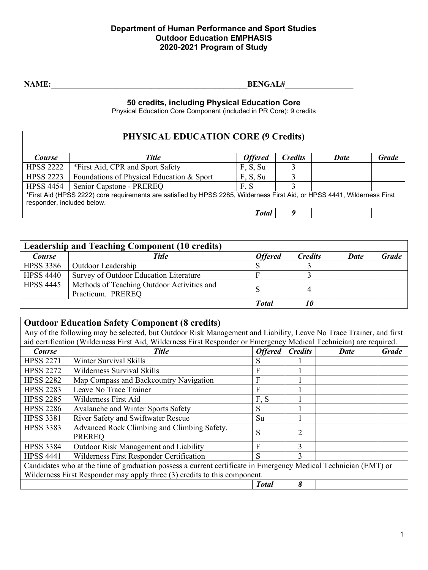NAME: BENGAL#

**50 credits, including Physical Education Core**

Physical Education Core Component (included in PR Core): 9 credits

## **PHYSICAL EDUCATION CORE (9 Credits)**

| <b>Course</b>                                                                                                             | <b>Title</b>                              | <b>Offered</b> | <b>Credits</b> | <b>Date</b> | <b>Grade</b> |  |
|---------------------------------------------------------------------------------------------------------------------------|-------------------------------------------|----------------|----------------|-------------|--------------|--|
| <b>HPSS 2222</b>                                                                                                          | *First Aid, CPR and Sport Safety          | F, S, Su       |                |             |              |  |
| <b>HPSS 2223</b>                                                                                                          | Foundations of Physical Education & Sport | F, S, Su       |                |             |              |  |
| <b>HPSS 4454</b>                                                                                                          | Senior Capstone - PREREQ                  | F.S            |                |             |              |  |
| *First Aid (HPSS 2222) core requirements are satisfied by HPSS 2285, Wilderness First Aid, or HPSS 4441, Wilderness First |                                           |                |                |             |              |  |
| responder, included below.                                                                                                |                                           |                |                |             |              |  |
|                                                                                                                           |                                           | Total          |                |             |              |  |

|                  | <b>Leadership and Teaching Component (10 credits)</b>           |                |                |             |              |
|------------------|-----------------------------------------------------------------|----------------|----------------|-------------|--------------|
| Course           | <b>Title</b>                                                    | <b>Offered</b> | <b>Credits</b> | <b>Date</b> | <b>Grade</b> |
| <b>HPSS 3386</b> | <b>Outdoor Leadership</b>                                       |                |                |             |              |
| <b>HPSS 4440</b> | Survey of Outdoor Education Literature                          |                |                |             |              |
| <b>HPSS 4445</b> | Methods of Teaching Outdoor Activities and<br>Practicum. PREREO |                |                |             |              |
|                  |                                                                 | <b>Total</b>   |                |             |              |

## **Outdoor Education Safety Component (8 credits)**

Any of the following may be selected, but Outdoor Risk Management and Liability, Leave No Trace Trainer, and first ation (Wilderness First Aid, Wilderness First Responder or Emergency Medical Technician) are required.

| aid certification (wilderness First Aid, wilderness First Responder or Emergency Medical Technician) are required. |                                                              |                |                |             |              |  |  |
|--------------------------------------------------------------------------------------------------------------------|--------------------------------------------------------------|----------------|----------------|-------------|--------------|--|--|
| Course                                                                                                             | <b>Title</b>                                                 | <b>Offered</b> | <b>Credits</b> | <b>Date</b> | <b>Grade</b> |  |  |
| <b>HPSS 2271</b>                                                                                                   | Winter Survival Skills                                       |                |                |             |              |  |  |
| <b>HPSS 2272</b>                                                                                                   | Wilderness Survival Skills                                   | F              |                |             |              |  |  |
| <b>HPSS 2282</b>                                                                                                   | Map Compass and Backcountry Navigation                       | F              |                |             |              |  |  |
| <b>HPSS 2283</b>                                                                                                   | Leave No Trace Trainer                                       | F              |                |             |              |  |  |
| <b>HPSS 2285</b>                                                                                                   | Wilderness First Aid                                         | F, S           |                |             |              |  |  |
| <b>HPSS 2286</b>                                                                                                   | Avalanche and Winter Sports Safety                           | S              |                |             |              |  |  |
| <b>HPSS 3381</b>                                                                                                   | River Safety and Swiftwater Rescue                           | Su             |                |             |              |  |  |
| <b>HPSS 3383</b>                                                                                                   | Advanced Rock Climbing and Climbing Safety.<br><b>PREREO</b> | S              | 2              |             |              |  |  |
| <b>HPSS 3384</b>                                                                                                   | Outdoor Risk Management and Liability                        | F              | 3              |             |              |  |  |
| <b>HPSS 4441</b>                                                                                                   | Wilderness First Responder Certification                     | S              | 3              |             |              |  |  |
| Candidates who at the time of graduation possess a current certificate in Emergency Medical Technician (EMT) or    |                                                              |                |                |             |              |  |  |
| Wilderness First Responder may apply three (3) credits to this component.                                          |                                                              |                |                |             |              |  |  |
|                                                                                                                    | 8<br><b>Total</b>                                            |                |                |             |              |  |  |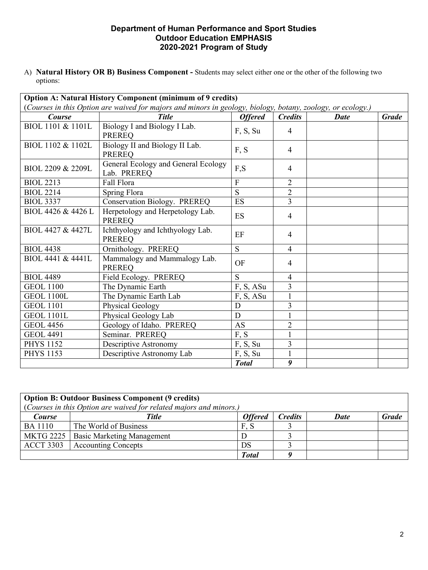A) **Natural History OR B) Business Component -** Students may select either one or the other of the following two options:

| Option A: Natural History Component (minimum of 9 credits)                                                  |                                                    |                |                |             |              |  |  |
|-------------------------------------------------------------------------------------------------------------|----------------------------------------------------|----------------|----------------|-------------|--------------|--|--|
| (Courses in this Option are waived for majors and minors in geology, biology, botany, zoology, or ecology.) |                                                    |                |                |             |              |  |  |
| <b>Course</b>                                                                                               | <b>Title</b>                                       | <b>Offered</b> | <b>Credits</b> | <b>Date</b> | <b>Grade</b> |  |  |
| BIOL 1101 & 1101L                                                                                           | Biology I and Biology I Lab.<br><b>PREREQ</b>      | F, S, Su       | $\overline{4}$ |             |              |  |  |
| BIOL 1102 & 1102L                                                                                           | Biology II and Biology II Lab.<br><b>PREREQ</b>    | F, S           | $\overline{4}$ |             |              |  |  |
| BIOL 2209 & 2209L                                                                                           | General Ecology and General Ecology<br>Lab. PREREQ | F,S            | $\overline{4}$ |             |              |  |  |
| <b>BIOL 2213</b>                                                                                            | Fall Flora                                         | $\overline{F}$ | $\overline{2}$ |             |              |  |  |
| <b>BIOL 2214</b>                                                                                            | Spring Flora                                       | $\overline{S}$ | $\overline{2}$ |             |              |  |  |
| <b>BIOL 3337</b>                                                                                            | Conservation Biology. PREREQ                       | ES             | $\overline{3}$ |             |              |  |  |
| BIOL 4426 & 4426 L                                                                                          | Herpetology and Herpetology Lab.<br><b>PREREQ</b>  | ES             | $\overline{4}$ |             |              |  |  |
| BIOL 4427 & 4427L                                                                                           | Ichthyology and Ichthyology Lab.<br><b>PREREQ</b>  | EF             | $\overline{4}$ |             |              |  |  |
| <b>BIOL 4438</b>                                                                                            | Ornithology. PREREQ                                | S.             | $\overline{4}$ |             |              |  |  |
| BIOL 4441 & 4441L                                                                                           | Mammalogy and Mammalogy Lab.<br><b>PREREQ</b>      | <b>OF</b>      | $\overline{4}$ |             |              |  |  |
| <b>BIOL 4489</b>                                                                                            | Field Ecology. PREREQ                              | S              | $\overline{4}$ |             |              |  |  |
| <b>GEOL 1100</b>                                                                                            | The Dynamic Earth                                  | F, S, ASu      | 3              |             |              |  |  |
| <b>GEOL 1100L</b>                                                                                           | The Dynamic Earth Lab                              | F, S, ASu      |                |             |              |  |  |
| <b>GEOL 1101</b>                                                                                            | <b>Physical Geology</b>                            | D              | 3              |             |              |  |  |
| <b>GEOL 1101L</b>                                                                                           | Physical Geology Lab                               | D              | $\mathbf{1}$   |             |              |  |  |
| <b>GEOL 4456</b>                                                                                            | Geology of Idaho. PREREQ                           | AS             | $\overline{2}$ |             |              |  |  |
| <b>GEOL 4491</b>                                                                                            | Seminar. PREREQ                                    | F, S           | $\mathbf{1}$   |             |              |  |  |
| <b>PHYS 1152</b>                                                                                            | Descriptive Astronomy                              | F, S, Su       | 3              |             |              |  |  |
| <b>PHYS 1153</b>                                                                                            | Descriptive Astronomy Lab                          | F, S, Su       |                |             |              |  |  |
|                                                                                                             | 9<br><b>Total</b>                                  |                |                |             |              |  |  |

|                  | <b>Option B: Outdoor Business Component (9 credits)</b>                     |                |                |             |              |
|------------------|-----------------------------------------------------------------------------|----------------|----------------|-------------|--------------|
| <b>Course</b>    | (Courses in this Option are waived for related majors and minors.)<br>Title | <b>Offered</b> | <b>Credits</b> | <b>Date</b> | <b>Grade</b> |
| <b>BA</b> 1110   | The World of Business                                                       | F. S           |                |             |              |
| <b>MKTG 2225</b> | <b>Basic Marketing Management</b>                                           |                |                |             |              |
| <b>ACCT 3303</b> | <b>Accounting Concepts</b>                                                  | DS             |                |             |              |
|                  |                                                                             | <b>Total</b>   |                |             |              |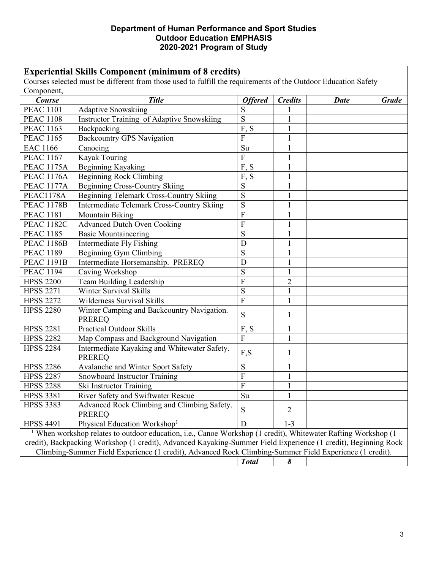# **Experiential Skills Component (minimum of 8 credits)**

Courses selected must be different from those used to fulfill the requirements of the Outdoor Education Safety  $\Gamma$  Component

| $\mathbf{$ }Umponem $\mathbf{,}$<br>Course                                                                                                                                                                                    | <b>Title</b>                                                                                            | <b>Offered</b> | <b>Credits</b> | <b>Date</b> | <b>Grade</b> |
|-------------------------------------------------------------------------------------------------------------------------------------------------------------------------------------------------------------------------------|---------------------------------------------------------------------------------------------------------|----------------|----------------|-------------|--------------|
| <b>PEAC 1101</b>                                                                                                                                                                                                              | <b>Adaptive Snowskiing</b>                                                                              | S              |                |             |              |
| <b>PEAC 1108</b>                                                                                                                                                                                                              | Instructor Training of Adaptive Snowskiing                                                              | S              |                |             |              |
| <b>PEAC 1163</b>                                                                                                                                                                                                              | Backpacking                                                                                             | F, S           |                |             |              |
| <b>PEAC 1165</b>                                                                                                                                                                                                              | <b>Backcountry GPS Navigation</b>                                                                       | F              |                |             |              |
| <b>EAC 1166</b>                                                                                                                                                                                                               | Canoeing                                                                                                | Su             |                |             |              |
| <b>PEAC 1167</b>                                                                                                                                                                                                              | Kayak Touring                                                                                           | F              |                |             |              |
| <b>PEAC 1175A</b>                                                                                                                                                                                                             | Beginning Kayaking                                                                                      | F, S           |                |             |              |
| <b>PEAC 1176A</b>                                                                                                                                                                                                             | <b>Beginning Rock Climbing</b>                                                                          | F, S           |                |             |              |
| <b>PEAC 1177A</b>                                                                                                                                                                                                             | <b>Beginning Cross-Country Skiing</b>                                                                   | S              |                |             |              |
| PEAC1178A                                                                                                                                                                                                                     | Beginning Telemark Cross-Country Skiing                                                                 | S              |                |             |              |
| <b>PEAC 1178B</b>                                                                                                                                                                                                             | <b>Intermediate Telemark Cross-Country Skiing</b>                                                       | S              |                |             |              |
| <b>PEAC 1181</b>                                                                                                                                                                                                              | Mountain Biking                                                                                         | $\mathbf{F}$   |                |             |              |
| <b>PEAC 1182C</b>                                                                                                                                                                                                             | <b>Advanced Dutch Oven Cooking</b>                                                                      | F              |                |             |              |
| <b>PEAC 1185</b>                                                                                                                                                                                                              | <b>Basic Mountaineering</b>                                                                             | S              |                |             |              |
| <b>PEAC 1186B</b>                                                                                                                                                                                                             | Intermediate Fly Fishing                                                                                | D              |                |             |              |
| <b>PEAC 1189</b>                                                                                                                                                                                                              | <b>Beginning Gym Climbing</b>                                                                           | S              |                |             |              |
| <b>PEAC 1191B</b>                                                                                                                                                                                                             | Intermediate Horsemanship. PREREQ                                                                       | D              |                |             |              |
| <b>PEAC 1194</b>                                                                                                                                                                                                              | Caving Workshop                                                                                         | S              |                |             |              |
| <b>HPSS 2200</b>                                                                                                                                                                                                              | Team Building Leadership                                                                                | $\mathbf{F}$   | $\overline{2}$ |             |              |
| <b>HPSS 2271</b>                                                                                                                                                                                                              | <b>Winter Survival Skills</b>                                                                           | S              |                |             |              |
| <b>HPSS 2272</b>                                                                                                                                                                                                              | Wilderness Survival Skills                                                                              | F              |                |             |              |
| <b>HPSS 2280</b>                                                                                                                                                                                                              | Winter Camping and Backcountry Navigation.<br><b>PREREQ</b>                                             | S              |                |             |              |
| <b>HPSS 2281</b>                                                                                                                                                                                                              | <b>Practical Outdoor Skills</b>                                                                         | F, S           |                |             |              |
| <b>HPSS 2282</b>                                                                                                                                                                                                              | Map Compass and Background Navigation                                                                   | $\overline{F}$ |                |             |              |
| <b>HPSS 2284</b>                                                                                                                                                                                                              | Intermediate Kayaking and Whitewater Safety.<br><b>PREREQ</b>                                           | F,S            |                |             |              |
| <b>HPSS 2286</b>                                                                                                                                                                                                              | Avalanche and Winter Sport Safety                                                                       | S              |                |             |              |
| <b>HPSS 2287</b>                                                                                                                                                                                                              | Snowboard Instructor Training                                                                           | F              |                |             |              |
| <b>HPSS 2288</b>                                                                                                                                                                                                              | Ski Instructor Training                                                                                 | $\mathbf F$    |                |             |              |
| <b>HPSS 3381</b>                                                                                                                                                                                                              | River Safety and Swiftwater Rescue                                                                      | Su             |                |             |              |
| <b>HPSS 3383</b>                                                                                                                                                                                                              | Advanced Rock Climbing and Climbing Safety.<br><b>PREREQ</b>                                            | S              | 2              |             |              |
| <b>HPSS 4491</b>                                                                                                                                                                                                              | Physical Education Workshop <sup>1</sup>                                                                | D              | $1 - 3$        |             |              |
| When workshop relates to outdoor education, i.e., Canoe Workshop (1 credit), Whitewater Rafting Workshop (1<br>credit), Backpacking Workshop (1 credit), Advanced Kayaking-Summer Field Experience (1 credit), Beginning Rock |                                                                                                         |                |                |             |              |
|                                                                                                                                                                                                                               | Climbing-Summer Field Experience (1 credit), Advanced Rock Climbing-Summer Field Experience (1 credit). |                |                |             |              |
|                                                                                                                                                                                                                               |                                                                                                         | <b>Total</b>   | 8              |             |              |